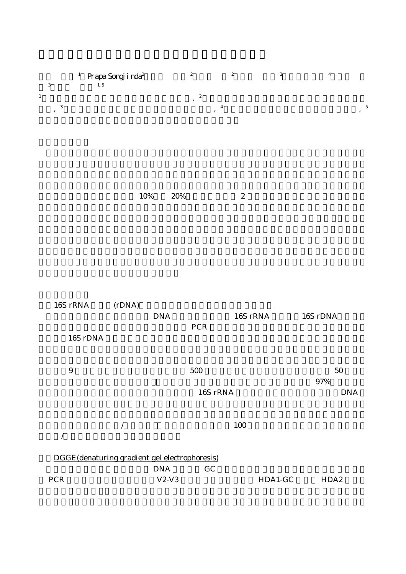| 3 | Prapa Songj i nda <sup>2</sup><br>1, 5 | 2                | 2 | 3 | 4 |    |
|---|----------------------------------------|------------------|---|---|---|----|
|   |                                        | $\boldsymbol{2}$ |   |   |   |    |
| 3 |                                        |                  |   |   |   | 5. |
|   |                                        |                  |   |   |   |    |
|   |                                        |                  |   |   |   |    |
|   |                                        |                  |   |   |   |    |

 $10\%$  20% 2

| 16S rRNA                                      | (rDNA) |            |            |          |                  |
|-----------------------------------------------|--------|------------|------------|----------|------------------|
|                                               |        | <b>DNA</b> |            | 16S rRNA | 16S rDNA         |
|                                               |        |            | <b>PCR</b> |          |                  |
| 16S rDNA                                      |        |            |            |          |                  |
|                                               |        |            |            |          |                  |
| 9                                             |        |            | 500        |          | 50               |
|                                               |        |            |            |          | 97%              |
|                                               |        |            | 16S rRNA   |          | <b>DNA</b>       |
|                                               |        |            |            | 100      |                  |
|                                               |        |            |            |          |                  |
| DGGE(denaturing gradient gel electrophoresis) |        |            |            |          |                  |
|                                               |        | <b>DNA</b> | GC         |          |                  |
| <b>PCR</b>                                    |        | $V2-V3$    |            | HDA1-GC  | HDA <sub>2</sub> |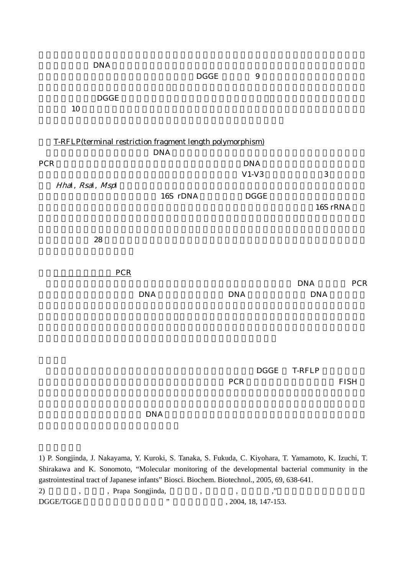| <b>DNA</b>            |                                                           | $\mathbf{DGGE}$ | $\boldsymbol{9}$ |                          |             |  |  |
|-----------------------|-----------------------------------------------------------|-----------------|------------------|--------------------------|-------------|--|--|
| $\mathbf{DGGE}$<br>10 |                                                           |                 |                  |                          |             |  |  |
|                       | T-RFLP(terminal restriction fragment length polymorphism) |                 |                  |                          |             |  |  |
| <b>PCR</b>            | $\mathbf{DNA}$                                            |                 | <b>DNA</b>       |                          |             |  |  |
|                       |                                                           |                 | $V1-V3$          | $\bf 3$                  |             |  |  |
| Hhal, Rsal, Mspl      |                                                           |                 |                  |                          |             |  |  |
|                       | 16S rDNA                                                  |                 | $\mathbf{DGGE}$  |                          | 16S rRNA    |  |  |
| ${\bf 28}$            |                                                           |                 |                  |                          |             |  |  |
|                       | <b>PCR</b>                                                |                 |                  |                          |             |  |  |
|                       | $\mathbf{DNA}$                                            | $\mathbf{DNA}$  |                  | <b>DNA</b><br><b>DNA</b> | <b>PCR</b>  |  |  |
|                       |                                                           |                 |                  |                          |             |  |  |
|                       |                                                           | ${\mbox{PCR}}$  | $\mathbf{DGGE}$  | <b>T-RFLP</b>            | <b>FISH</b> |  |  |
|                       | <b>DNA</b>                                                |                 |                  |                          |             |  |  |

1) P. Songjinda, J. Nakayama, Y. Kuroki, S. Tanaka, S. Fukuda, C. Kiyohara, T. Yamamoto, K. Izuchi, T. Shirakawa and K. Sonomoto, "Molecular monitoring of the developmental bacterial community in the gastrointestinal tract of Japanese infants" Biosci. Biochem. Biotechnol., 2005, 69, 638-641. 2) 中山二郎, 福井学, Prapa Songjinda, 田中重光, 久貫良子, 園元謙二,"腸内フローラの構造解析: DGGE/TGGE "  $\ldots$ , 2004, 18, 147-153.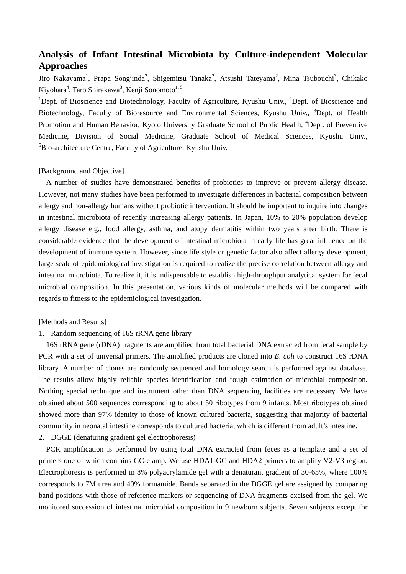# **Analysis of Infant Intestinal Microbiota by Culture-independent Molecular Approaches**

Jiro Nakayama<sup>1</sup>, Prapa Songjinda<sup>2</sup>, Shigemitsu Tanaka<sup>2</sup>, Atsushi Tateyama<sup>2</sup>, Mina Tsubouchi<sup>3</sup>, Chikako Kiyohara<sup>4</sup>, Taro Shirakawa<sup>3</sup>, Kenji Sonomoto<sup>1, 5</sup>

<sup>1</sup>Dept. of Bioscience and Biotechnology, Faculty of Agriculture, Kyushu Univ., <sup>2</sup>Dept. of Bioscience and Biotechnology, Faculty of Bioresource and Environmental Sciences, Kyushu Univ., <sup>3</sup>Dept. of Health Promotion and Human Behavior, Kyoto University Graduate School of Public Health, <sup>4</sup>Dept. of Preventive Medicine, Division of Social Medicine, Graduate School of Medical Sciences, Kyushu Univ., <sup>5</sup>Bio-architecture Centre, Faculty of Agriculture, Kyushu Univ.

# [Background and Objective]

A number of studies have demonstrated benefits of probiotics to improve or prevent allergy disease. However, not many studies have been performed to investigate differences in bacterial composition between allergy and non-allergy humans without probiotic intervention. It should be important to inquire into changes in intestinal microbiota of recently increasing allergy patients. In Japan, 10% to 20% population develop allergy disease e.g., food allergy, asthma, and atopy dermatitis within two years after birth. There is considerable evidence that the development of intestinal microbiota in early life has great influence on the development of immune system. However, since life style or genetic factor also affect allergy development, large scale of epidemiological investigation is required to realize the precise correlation between allergy and intestinal microbiota. To realize it, it is indispensable to establish high-throughput analytical system for fecal microbial composition. In this presentation, various kinds of molecular methods will be compared with regards to fitness to the epidemiological investigation.

#### [Methods and Results]

### 1. Random sequencing of 16S rRNA gene library

16S rRNA gene (rDNA) fragments are amplified from total bacterial DNA extracted from fecal sample by PCR with a set of universal primers. The amplified products are cloned into *E. coli* to construct 16S rDNA library. A number of clones are randomly sequenced and homology search is performed against database. The results allow highly reliable species identification and rough estimation of microbial composition. Nothing special technique and instrument other than DNA sequencing facilities are necessary. We have obtained about 500 sequences corresponding to about 50 ribotypes from 9 infants. Most ribotypes obtained showed more than 97% identity to those of known cultured bacteria, suggesting that majority of bacterial community in neonatal intestine corresponds to cultured bacteria, which is different from adult's intestine.

### 2. DGGE (denaturing gradient gel electrophoresis)

PCR amplification is performed by using total DNA extracted from feces as a template and a set of primers one of which contains GC-clamp. We use HDA1-GC and HDA2 primers to amplify V2-V3 region. Electrophoresis is performed in 8% polyacrylamide gel with a denaturant gradient of 30-65%, where 100% corresponds to 7M urea and 40% formamide. Bands separated in the DGGE gel are assigned by comparing band positions with those of reference markers or sequencing of DNA fragments excised from the gel. We monitored succession of intestinal microbial composition in 9 newborn subjects. Seven subjects except for